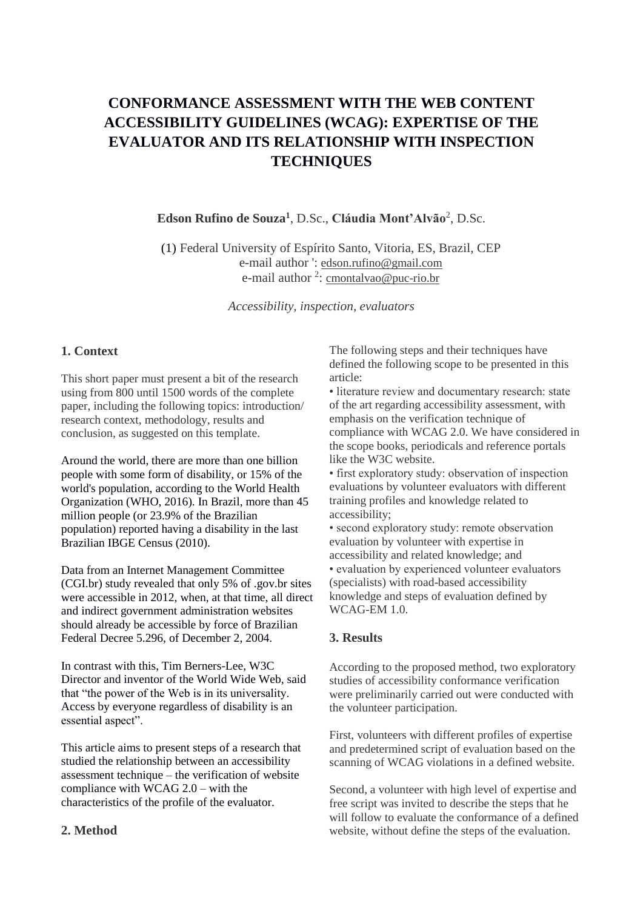# **CONFORMANCE ASSESSMENT WITH THE WEB CONTENT ACCESSIBILITY GUIDELINES (WCAG): EXPERTISE OF THE EVALUATOR AND ITS RELATIONSHIP WITH INSPECTION TECHNIQUES**

**Edson Rufino de Souza<sup>1</sup>** , D.Sc., **Cláudia Mont'Alvão**<sup>2</sup> , D.Sc.

(1) Federal University of Espírito Santo, Vitoria, ES, Brazil, CEP e-mail author ': edson.rufino@gmail.com e-mail author <sup>2</sup>: cmontalvao@puc-rio.br

*Accessibility, inspection, evaluators*

## **1. Context**

This short paper must present a bit of the research using from 800 until 1500 words of the complete paper, including the following topics: introduction/ research context, methodology, results and conclusion, as suggested on this template.

Around the world, there are more than one billion people with some form of disability, or 15% of the world's population, according to the World Health Organization (WHO, 2016). In Brazil, more than 45 million people (or 23.9% of the Brazilian population) reported having a disability in the last Brazilian IBGE Census (2010).

Data from an Internet Management Committee (CGI.br) study revealed that only 5% of .gov.br sites were accessible in 2012, when, at that time, all direct and indirect government administration websites should already be accessible by force of Brazilian Federal Decree 5.296, of December 2, 2004.

In contrast with this, Tim Berners-Lee, W3C Director and inventor of the World Wide Web, said that "the power of the Web is in its universality. Access by everyone regardless of disability is an essential aspect".

This article aims to present steps of a research that studied the relationship between an accessibility assessment technique – the verification of website compliance with WCAG  $2.0$  – with the characteristics of the profile of the evaluator.

#### **2. Method**

The following steps and their techniques have defined the following scope to be presented in this article:

• literature review and documentary research: state of the art regarding accessibility assessment, with emphasis on the verification technique of compliance with WCAG 2.0. We have considered in the scope books, periodicals and reference portals like the W3C website.

• first exploratory study: observation of inspection evaluations by volunteer evaluators with different training profiles and knowledge related to accessibility;

• second exploratory study: remote observation evaluation by volunteer with expertise in accessibility and related knowledge; and • evaluation by experienced volunteer evaluators (specialists) with road-based accessibility knowledge and steps of evaluation defined by WCAG-EM 1.0.

#### **3. Results**

According to the proposed method, two exploratory studies of accessibility conformance verification were preliminarily carried out were conducted with the volunteer participation.

First, volunteers with different profiles of expertise and predetermined script of evaluation based on the scanning of WCAG violations in a defined website.

Second, a volunteer with high level of expertise and free script was invited to describe the steps that he will follow to evaluate the conformance of a defined website, without define the steps of the evaluation.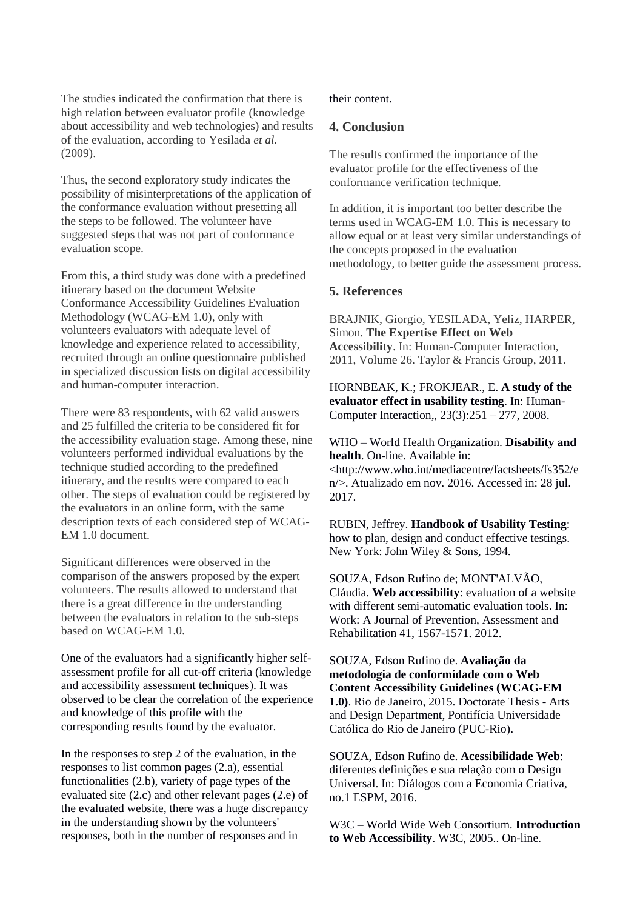The studies indicated the confirmation that there is high relation between evaluator profile (knowledge about accessibility and web technologies) and results of the evaluation, according to Yesilada *et al.*  (2009).

Thus, the second exploratory study indicates the possibility of misinterpretations of the application of the conformance evaluation without presetting all the steps to be followed. The volunteer have suggested steps that was not part of conformance evaluation scope.

From this, a third study was done with a predefined itinerary based on the document Website Conformance Accessibility Guidelines Evaluation Methodology (WCAG-EM 1.0), only with volunteers evaluators with adequate level of knowledge and experience related to accessibility, recruited through an online questionnaire published in specialized discussion lists on digital accessibility and human-computer interaction.

There were 83 respondents, with 62 valid answers and 25 fulfilled the criteria to be considered fit for the accessibility evaluation stage. Among these, nine volunteers performed individual evaluations by the technique studied according to the predefined itinerary, and the results were compared to each other. The steps of evaluation could be registered by the evaluators in an online form, with the same description texts of each considered step of WCAG-EM 1.0 document.

Significant differences were observed in the comparison of the answers proposed by the expert volunteers. The results allowed to understand that there is a great difference in the understanding between the evaluators in relation to the sub-steps based on WCAG-EM 1.0.

One of the evaluators had a significantly higher selfassessment profile for all cut-off criteria (knowledge and accessibility assessment techniques). It was observed to be clear the correlation of the experience and knowledge of this profile with the corresponding results found by the evaluator.

In the responses to step 2 of the evaluation, in the responses to list common pages (2.a), essential functionalities (2.b), variety of page types of the evaluated site (2.c) and other relevant pages (2.e) of the evaluated website, there was a huge discrepancy in the understanding shown by the volunteers' responses, both in the number of responses and in

their content.

#### **4. Conclusion**

The results confirmed the importance of the evaluator profile for the effectiveness of the conformance verification technique.

In addition, it is important too better describe the terms used in WCAG-EM 1.0. This is necessary to allow equal or at least very similar understandings of the concepts proposed in the evaluation methodology, to better guide the assessment process.

### **5. References**

BRAJNIK, Giorgio, YESILADA, Yeliz, HARPER, Simon. **The Expertise Effect on Web Accessibility**. In: Human-Computer Interaction, 2011, Volume 26. Taylor & Francis Group, 2011.

HORNBEAK, K.; FROKJEAR., E. **A study of the evaluator effect in usability testing**. In: Human-Computer Interaction,, 23(3):251 – 277, 2008.

WHO – World Health Organization. **Disability and health**. On-line. Available in: <http://www.who.int/mediacentre/factsheets/fs352/e n/>. Atualizado em nov. 2016. Accessed in: 28 jul. 2017.

RUBIN, Jeffrey. **Handbook of Usability Testing**: how to plan, design and conduct effective testings. New York: John Wiley & Sons, 1994.

SOUZA, Edson Rufino de; MONT'ALVÃO, Cláudia. **Web accessibility**: evaluation of a website with different semi-automatic evaluation tools. In: Work: A Journal of Prevention, Assessment and Rehabilitation 41, 1567-1571. 2012.

SOUZA, Edson Rufino de. **Avaliação da metodologia de conformidade com o Web Content Accessibility Guidelines (WCAG-EM 1.0)**. Rio de Janeiro, 2015. Doctorate Thesis - Arts and Design Department, Pontifícia Universidade Católica do Rio de Janeiro (PUC-Rio).

SOUZA, Edson Rufino de. **Acessibilidade Web**: diferentes definições e sua relação com o Design Universal. In: Diálogos com a Economia Criativa, no.1 ESPM, 2016.

W3C – World Wide Web Consortium. **Introduction to Web Accessibility**. W3C, 2005.. On-line.